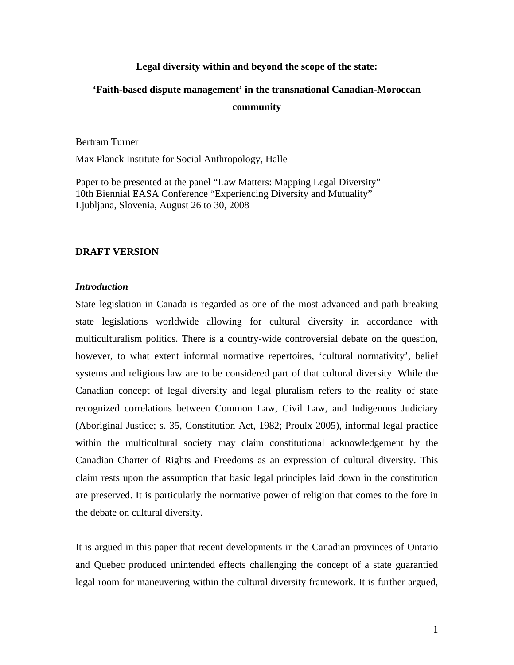# **Legal diversity within and beyond the scope of the state:**

# **'Faith-based dispute management' in the transnational Canadian-Moroccan community**

#### Bertram Turner

Max Planck Institute for Social Anthropology, Halle

Paper to be presented at the panel "Law Matters: Mapping Legal Diversity" 10th Biennial EASA Conference "Experiencing Diversity and Mutuality" Ljubljana, Slovenia, August 26 to 30, 2008

## **DRAFT VERSION**

#### *Introduction*

State legislation in Canada is regarded as one of the most advanced and path breaking state legislations worldwide allowing for cultural diversity in accordance with multiculturalism politics. There is a country-wide controversial debate on the question, however, to what extent informal normative repertoires, 'cultural normativity', belief systems and religious law are to be considered part of that cultural diversity. While the Canadian concept of legal diversity and legal pluralism refers to the reality of state recognized correlations between Common Law, Civil Law, and Indigenous Judiciary (Aboriginal Justice; s. 35, Constitution Act, 1982; Proulx 2005), informal legal practice within the multicultural society may claim constitutional acknowledgement by the Canadian Charter of Rights and Freedoms as an expression of cultural diversity. This claim rests upon the assumption that basic legal principles laid down in the constitution are preserved. It is particularly the normative power of religion that comes to the fore in the debate on cultural diversity.

It is argued in this paper that recent developments in the Canadian provinces of Ontario and Quebec produced unintended effects challenging the concept of a state guarantied legal room for maneuvering within the cultural diversity framework. It is further argued,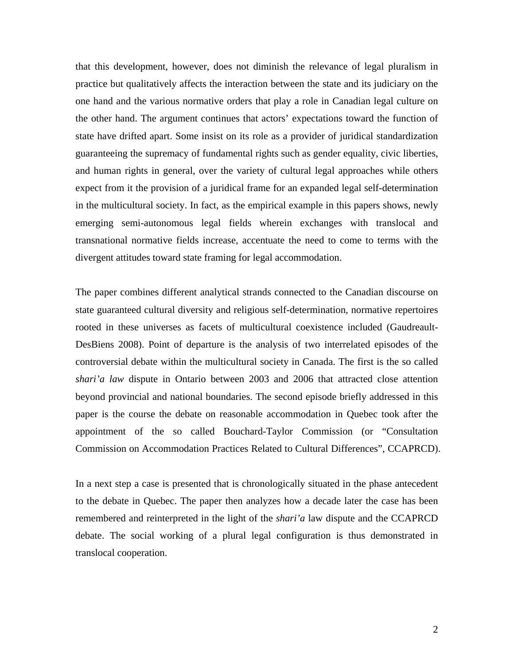that this development, however, does not diminish the relevance of legal pluralism in practice but qualitatively affects the interaction between the state and its judiciary on the one hand and the various normative orders that play a role in Canadian legal culture on the other hand. The argument continues that actors' expectations toward the function of state have drifted apart. Some insist on its role as a provider of juridical standardization guaranteeing the supremacy of fundamental rights such as gender equality, civic liberties, and human rights in general, over the variety of cultural legal approaches while others expect from it the provision of a juridical frame for an expanded legal self-determination in the multicultural society. In fact, as the empirical example in this papers shows, newly emerging semi-autonomous legal fields wherein exchanges with translocal and transnational normative fields increase, accentuate the need to come to terms with the divergent attitudes toward state framing for legal accommodation.

The paper combines different analytical strands connected to the Canadian discourse on state guaranteed cultural diversity and religious self-determination, normative repertoires rooted in these universes as facets of multicultural coexistence included (Gaudreault-DesBiens 2008). Point of departure is the analysis of two interrelated episodes of the controversial debate within the multicultural society in Canada. The first is the so called *shari'a law* dispute in Ontario between 2003 and 2006 that attracted close attention beyond provincial and national boundaries. The second episode briefly addressed in this paper is the course the debate on reasonable accommodation in Quebec took after the appointment of the so called Bouchard-Taylor Commission (or "Consultation Commission on Accommodation Practices Related to Cultural Differences", CCAPRCD).

In a next step a case is presented that is chronologically situated in the phase antecedent to the debate in Quebec. The paper then analyzes how a decade later the case has been remembered and reinterpreted in the light of the *shari'a* law dispute and the CCAPRCD debate. The social working of a plural legal configuration is thus demonstrated in translocal cooperation.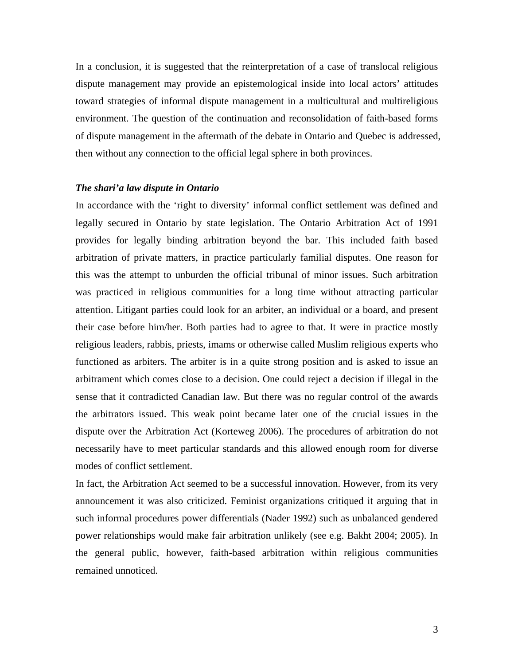In a conclusion, it is suggested that the reinterpretation of a case of translocal religious dispute management may provide an epistemological inside into local actors' attitudes toward strategies of informal dispute management in a multicultural and multireligious environment. The question of the continuation and reconsolidation of faith-based forms of dispute management in the aftermath of the debate in Ontario and Quebec is addressed, then without any connection to the official legal sphere in both provinces.

#### *The shari'a law dispute in Ontario*

In accordance with the 'right to diversity' informal conflict settlement was defined and legally secured in Ontario by state legislation. The Ontario Arbitration Act of 1991 provides for legally binding arbitration beyond the bar. This included faith based arbitration of private matters, in practice particularly familial disputes. One reason for this was the attempt to unburden the official tribunal of minor issues. Such arbitration was practiced in religious communities for a long time without attracting particular attention. Litigant parties could look for an arbiter, an individual or a board, and present their case before him/her. Both parties had to agree to that. It were in practice mostly religious leaders, rabbis, priests, imams or otherwise called Muslim religious experts who functioned as arbiters. The arbiter is in a quite strong position and is asked to issue an arbitrament which comes close to a decision. One could reject a decision if illegal in the sense that it contradicted Canadian law. But there was no regular control of the awards the arbitrators issued. This weak point became later one of the crucial issues in the dispute over the Arbitration Act (Korteweg 2006). The procedures of arbitration do not necessarily have to meet particular standards and this allowed enough room for diverse modes of conflict settlement.

In fact, the Arbitration Act seemed to be a successful innovation. However, from its very announcement it was also criticized. Feminist organizations critiqued it arguing that in such informal procedures power differentials (Nader 1992) such as unbalanced gendered power relationships would make fair arbitration unlikely (see e.g. Bakht 2004; 2005). In the general public, however, faith-based arbitration within religious communities remained unnoticed.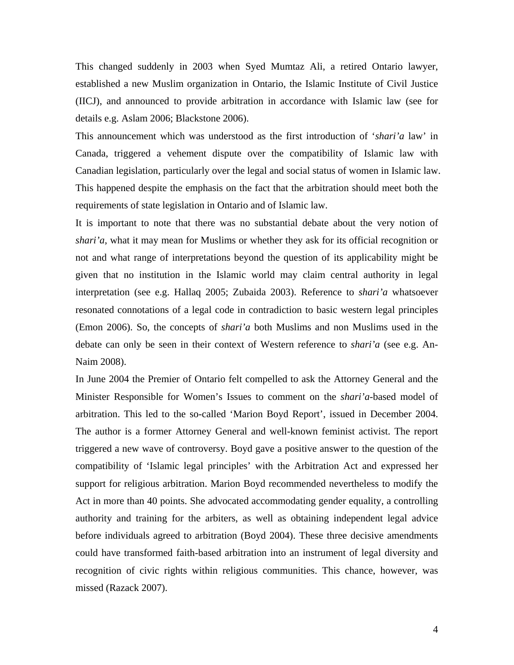This changed suddenly in 2003 when Syed Mumtaz Ali, a retired Ontario lawyer, established a new Muslim organization in Ontario, the Islamic Institute of Civil Justice (IICJ), and announced to provide arbitration in accordance with Islamic law (see for details e.g. Aslam 2006; Blackstone 2006).

This announcement which was understood as the first introduction of '*shari'a* law' in Canada, triggered a vehement dispute over the compatibility of Islamic law with Canadian legislation, particularly over the legal and social status of women in Islamic law. This happened despite the emphasis on the fact that the arbitration should meet both the requirements of state legislation in Ontario and of Islamic law.

It is important to note that there was no substantial debate about the very notion of *shari'a*, what it may mean for Muslims or whether they ask for its official recognition or not and what range of interpretations beyond the question of its applicability might be given that no institution in the Islamic world may claim central authority in legal interpretation (see e.g. Hallaq 2005; Zubaida 2003). Reference to *shari'a* whatsoever resonated connotations of a legal code in contradiction to basic western legal principles (Emon 2006). So, the concepts of *shari'a* both Muslims and non Muslims used in the debate can only be seen in their context of Western reference to *shari'a* (see e.g. An-Naim 2008).

In June 2004 the Premier of Ontario felt compelled to ask the Attorney General and the Minister Responsible for Women's Issues to comment on the *shari'a*-based model of arbitration. This led to the so-called 'Marion Boyd Report', issued in December 2004. The author is a former Attorney General and well-known feminist activist. The report triggered a new wave of controversy. Boyd gave a positive answer to the question of the compatibility of 'Islamic legal principles' with the Arbitration Act and expressed her support for religious arbitration. Marion Boyd recommended nevertheless to modify the Act in more than 40 points. She advocated accommodating gender equality, a controlling authority and training for the arbiters, as well as obtaining independent legal advice before individuals agreed to arbitration (Boyd 2004). These three decisive amendments could have transformed faith-based arbitration into an instrument of legal diversity and recognition of civic rights within religious communities. This chance, however, was missed (Razack 2007).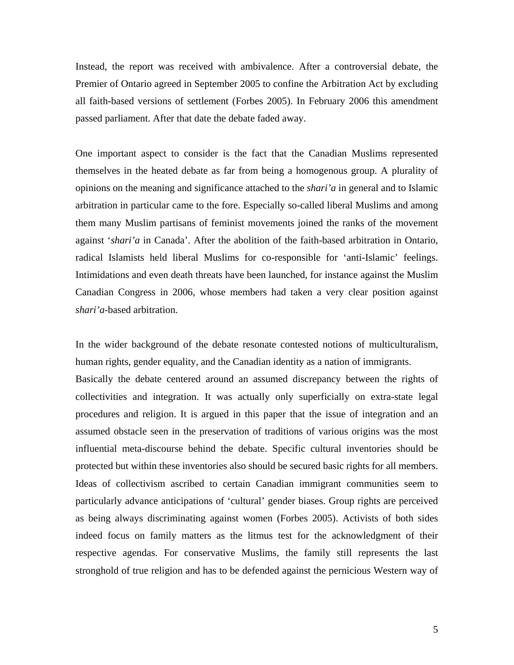Instead, the report was received with ambivalence. After a controversial debate, the Premier of Ontario agreed in September 2005 to confine the Arbitration Act by excluding all faith-based versions of settlement (Forbes 2005). In February 2006 this amendment passed parliament. After that date the debate faded away.

One important aspect to consider is the fact that the Canadian Muslims represented themselves in the heated debate as far from being a homogenous group. A plurality of opinions on the meaning and significance attached to the *shari'a* in general and to Islamic arbitration in particular came to the fore. Especially so-called liberal Muslims and among them many Muslim partisans of feminist movements joined the ranks of the movement against '*shari'a* in Canada'. After the abolition of the faith-based arbitration in Ontario, radical Islamists held liberal Muslims for co-responsible for 'anti-Islamic' feelings. Intimidations and even death threats have been launched, for instance against the Muslim Canadian Congress in 2006, whose members had taken a very clear position against *shari'a*-based arbitration.

In the wider background of the debate resonate contested notions of multiculturalism, human rights, gender equality, and the Canadian identity as a nation of immigrants. Basically the debate centered around an assumed discrepancy between the rights of collectivities and integration. It was actually only superficially on extra-state legal procedures and religion. It is argued in this paper that the issue of integration and an assumed obstacle seen in the preservation of traditions of various origins was the most influential meta-discourse behind the debate. Specific cultural inventories should be protected but within these inventories also should be secured basic rights for all members. Ideas of collectivism ascribed to certain Canadian immigrant communities seem to particularly advance anticipations of 'cultural' gender biases. Group rights are perceived as being always discriminating against women (Forbes 2005). Activists of both sides indeed focus on family matters as the litmus test for the acknowledgment of their respective agendas. For conservative Muslims, the family still represents the last stronghold of true religion and has to be defended against the pernicious Western way of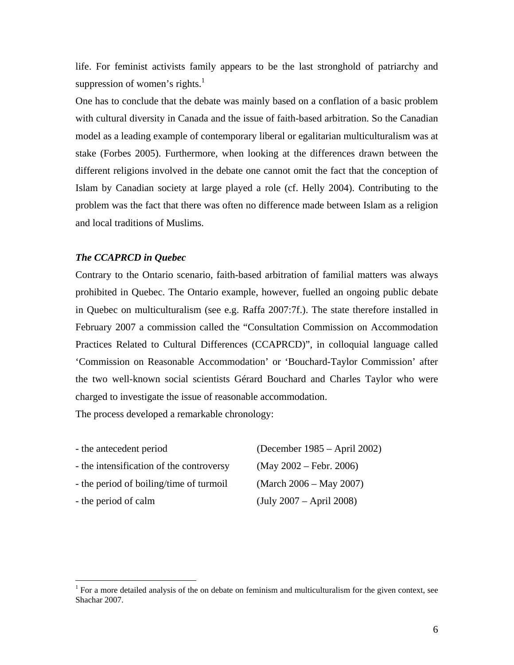life. For feminist activists family appears to be the last stronghold of patriarchy and suppression of women's rights. $<sup>1</sup>$ </sup>

One has to conclude that the debate was mainly based on a conflation of a basic problem with cultural diversity in Canada and the issue of faith-based arbitration. So the Canadian model as a leading example of contemporary liberal or egalitarian multiculturalism was at stake (Forbes 2005). Furthermore, when looking at the differences drawn between the different religions involved in the debate one cannot omit the fact that the conception of Islam by Canadian society at large played a role (cf. Helly 2004). Contributing to the problem was the fact that there was often no difference made between Islam as a religion and local traditions of Muslims.

#### *The CCAPRCD in Quebec*

1

Contrary to the Ontario scenario, faith-based arbitration of familial matters was always prohibited in Quebec. The Ontario example, however, fuelled an ongoing public debate in Quebec on multiculturalism (see e.g. Raffa 2007:7f.). The state therefore installed in February 2007 a commission called the "Consultation Commission on Accommodation Practices Related to Cultural Differences (CCAPRCD)", in colloquial language called 'Commission on Reasonable Accommodation' or 'Bouchard-Taylor Commission' after the two well-known social scientists Gérard Bouchard and Charles Taylor who were charged to investigate the issue of reasonable accommodation.

The process developed a remarkable chronology:

| - the antecedent period                  | (December $1985 - April 2002$ ) |
|------------------------------------------|---------------------------------|
| - the intensification of the controversy | $(May 2002 - Febr. 2006)$       |
| - the period of boiling/time of turmoil  | $(March 2006 - May 2007)$       |
| - the period of calm                     | (July 2007 – April 2008)        |

<sup>&</sup>lt;sup>1</sup> For a more detailed analysis of the on debate on feminism and multiculturalism for the given context, see Shachar 2007.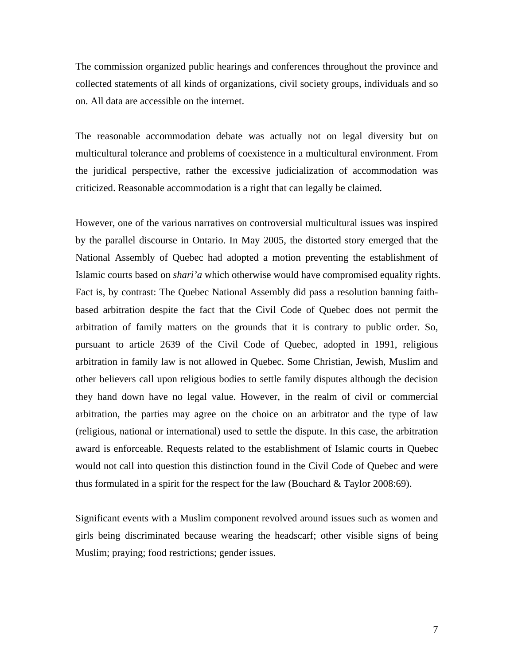The commission organized public hearings and conferences throughout the province and collected statements of all kinds of organizations, civil society groups, individuals and so on. All data are accessible on the internet.

The reasonable accommodation debate was actually not on legal diversity but on multicultural tolerance and problems of coexistence in a multicultural environment. From the juridical perspective, rather the excessive judicialization of accommodation was criticized. Reasonable accommodation is a right that can legally be claimed.

However, one of the various narratives on controversial multicultural issues was inspired by the parallel discourse in Ontario. In May 2005, the distorted story emerged that the National Assembly of Quebec had adopted a motion preventing the establishment of Islamic courts based on *shari'a* which otherwise would have compromised equality rights. Fact is, by contrast: The Quebec National Assembly did pass a resolution banning faithbased arbitration despite the fact that the Civil Code of Quebec does not permit the arbitration of family matters on the grounds that it is contrary to public order. So, pursuant to article 2639 of the Civil Code of Quebec, adopted in 1991, religious arbitration in family law is not allowed in Quebec. Some Christian, Jewish, Muslim and other believers call upon religious bodies to settle family disputes although the decision they hand down have no legal value. However, in the realm of civil or commercial arbitration, the parties may agree on the choice on an arbitrator and the type of law (religious, national or international) used to settle the dispute. In this case, the arbitration award is enforceable. Requests related to the establishment of Islamic courts in Quebec would not call into question this distinction found in the Civil Code of Quebec and were thus formulated in a spirit for the respect for the law (Bouchard & Taylor 2008:69).

Significant events with a Muslim component revolved around issues such as women and girls being discriminated because wearing the headscarf; other visible signs of being Muslim; praying; food restrictions; gender issues.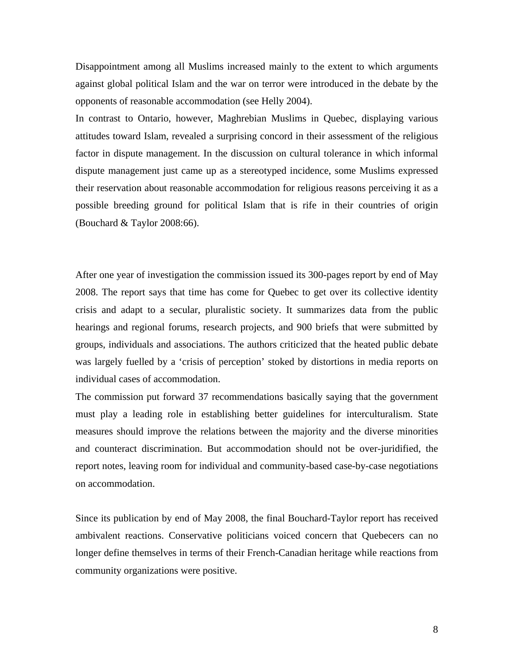Disappointment among all Muslims increased mainly to the extent to which arguments against global political Islam and the war on terror were introduced in the debate by the opponents of reasonable accommodation (see Helly 2004).

In contrast to Ontario, however, Maghrebian Muslims in Quebec, displaying various attitudes toward Islam, revealed a surprising concord in their assessment of the religious factor in dispute management. In the discussion on cultural tolerance in which informal dispute management just came up as a stereotyped incidence, some Muslims expressed their reservation about reasonable accommodation for religious reasons perceiving it as a possible breeding ground for political Islam that is rife in their countries of origin (Bouchard & Taylor 2008:66).

After one year of investigation the commission issued its 300-pages report by end of May 2008. The report says that time has come for Quebec to get over its collective identity crisis and adapt to a secular, pluralistic society. It summarizes data from the public hearings and regional forums, research projects, and 900 briefs that were submitted by groups, individuals and associations. The authors criticized that the heated public debate was largely fuelled by a 'crisis of perception' stoked by distortions in media reports on individual cases of accommodation.

The commission put forward 37 recommendations basically saying that the government must play a leading role in establishing better guidelines for interculturalism. State measures should improve the relations between the majority and the diverse minorities and counteract discrimination. But accommodation should not be over-juridified, the report notes, leaving room for individual and community-based case-by-case negotiations on accommodation.

Since its publication by end of May 2008, the final Bouchard-Taylor report has received ambivalent reactions. Conservative politicians voiced concern that Quebecers can no longer define themselves in terms of their French-Canadian heritage while reactions from community organizations were positive.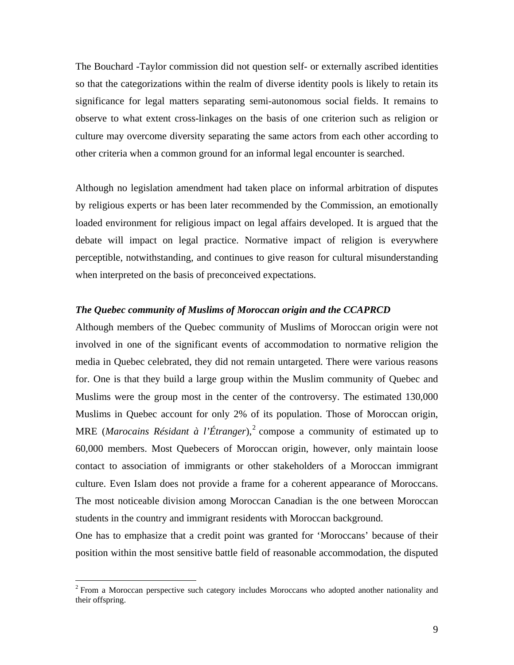The Bouchard -Taylor commission did not question self- or externally ascribed identities so that the categorizations within the realm of diverse identity pools is likely to retain its significance for legal matters separating semi-autonomous social fields. It remains to observe to what extent cross-linkages on the basis of one criterion such as religion or culture may overcome diversity separating the same actors from each other according to other criteria when a common ground for an informal legal encounter is searched.

Although no legislation amendment had taken place on informal arbitration of disputes by religious experts or has been later recommended by the Commission, an emotionally loaded environment for religious impact on legal affairs developed. It is argued that the debate will impact on legal practice. Normative impact of religion is everywhere perceptible, notwithstanding, and continues to give reason for cultural misunderstanding when interpreted on the basis of preconceived expectations.

# *The Quebec community of Muslims of Moroccan origin and the CCAPRCD*

Although members of the Quebec community of Muslims of Moroccan origin were not involved in one of the significant events of accommodation to normative religion the media in Quebec celebrated, they did not remain untargeted. There were various reasons for. One is that they build a large group within the Muslim community of Quebec and Muslims were the group most in the center of the controversy. The estimated 130,000 Muslims in Quebec account for only 2% of its population. Those of Moroccan origin, MRE (*Marocains Résidant à l'Étranger*),<sup>2</sup> compose a community of estimated up to 60,000 members. Most Quebecers of Moroccan origin, however, only maintain loose contact to association of immigrants or other stakeholders of a Moroccan immigrant culture. Even Islam does not provide a frame for a coherent appearance of Moroccans. The most noticeable division among Moroccan Canadian is the one between Moroccan students in the country and immigrant residents with Moroccan background.

One has to emphasize that a credit point was granted for 'Moroccans' because of their position within the most sensitive battle field of reasonable accommodation, the disputed

 $\overline{a}$ 

 $2$  From a Moroccan perspective such category includes Moroccans who adopted another nationality and their offspring.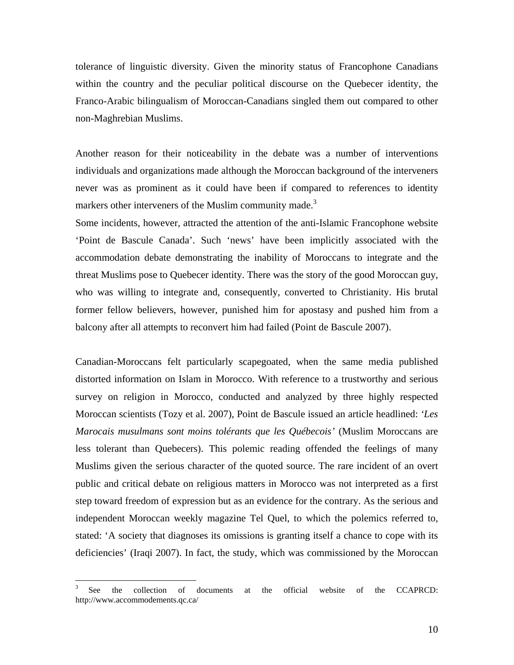tolerance of linguistic diversity. Given the minority status of Francophone Canadians within the country and the peculiar political discourse on the Quebecer identity, the Franco-Arabic bilingualism of Moroccan-Canadians singled them out compared to other non-Maghrebian Muslims.

Another reason for their noticeability in the debate was a number of interventions individuals and organizations made although the Moroccan background of the interveners never was as prominent as it could have been if compared to references to identity markers other interveners of the Muslim community made.<sup>3</sup>

Some incidents, however, attracted the attention of the anti-Islamic Francophone website 'Point de Bascule Canada'. Such 'news' have been implicitly associated with the accommodation debate demonstrating the inability of Moroccans to integrate and the threat Muslims pose to Quebecer identity. There was the story of the good Moroccan guy, who was willing to integrate and, consequently, converted to Christianity. His brutal former fellow believers, however, punished him for apostasy and pushed him from a balcony after all attempts to reconvert him had failed (Point de Bascule 2007).

Canadian-Moroccans felt particularly scapegoated, when the same media published distorted information on Islam in Morocco. With reference to a trustworthy and serious survey on religion in Morocco, conducted and analyzed by three highly respected Moroccan scientists (Tozy et al. 2007), Point de Bascule issued an article headlined: *'Les Marocais musulmans sont moins tolérants que les Québecois'* (Muslim Moroccans are less tolerant than Quebecers). This polemic reading offended the feelings of many Muslims given the serious character of the quoted source. The rare incident of an overt public and critical debate on religious matters in Morocco was not interpreted as a first step toward freedom of expression but as an evidence for the contrary. As the serious and independent Moroccan weekly magazine Tel Quel, to which the polemics referred to, stated: 'A society that diagnoses its omissions is granting itself a chance to cope with its deficiencies' (Iraqi 2007). In fact, the study, which was commissioned by the Moroccan

1

<sup>&</sup>lt;sup>3</sup> See the collection of documents at the official website of the CCAPRCD: http://www.accommodements.qc.ca/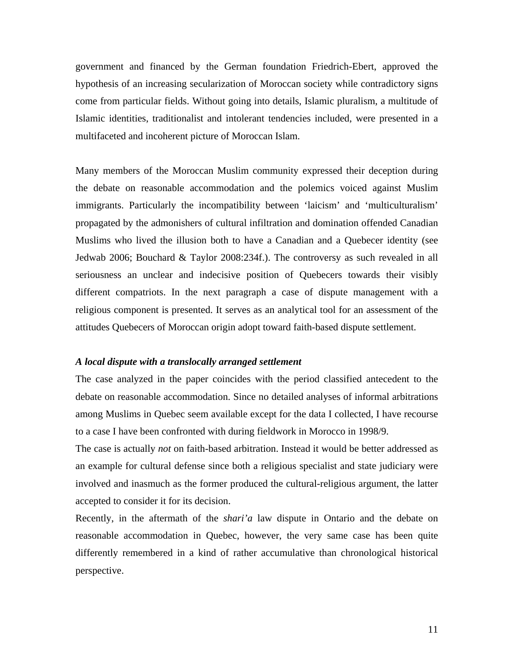government and financed by the German foundation Friedrich-Ebert, approved the hypothesis of an increasing secularization of Moroccan society while contradictory signs come from particular fields. Without going into details, Islamic pluralism, a multitude of Islamic identities, traditionalist and intolerant tendencies included, were presented in a multifaceted and incoherent picture of Moroccan Islam.

Many members of the Moroccan Muslim community expressed their deception during the debate on reasonable accommodation and the polemics voiced against Muslim immigrants. Particularly the incompatibility between 'laicism' and 'multiculturalism' propagated by the admonishers of cultural infiltration and domination offended Canadian Muslims who lived the illusion both to have a Canadian and a Quebecer identity (see Jedwab 2006; Bouchard & Taylor 2008:234f.). The controversy as such revealed in all seriousness an unclear and indecisive position of Quebecers towards their visibly different compatriots. In the next paragraph a case of dispute management with a religious component is presented. It serves as an analytical tool for an assessment of the attitudes Quebecers of Moroccan origin adopt toward faith-based dispute settlement.

# *A local dispute with a translocally arranged settlement*

The case analyzed in the paper coincides with the period classified antecedent to the debate on reasonable accommodation. Since no detailed analyses of informal arbitrations among Muslims in Quebec seem available except for the data I collected, I have recourse to a case I have been confronted with during fieldwork in Morocco in 1998/9.

The case is actually *not* on faith-based arbitration. Instead it would be better addressed as an example for cultural defense since both a religious specialist and state judiciary were involved and inasmuch as the former produced the cultural-religious argument, the latter accepted to consider it for its decision.

Recently, in the aftermath of the *shari'a* law dispute in Ontario and the debate on reasonable accommodation in Quebec, however, the very same case has been quite differently remembered in a kind of rather accumulative than chronological historical perspective.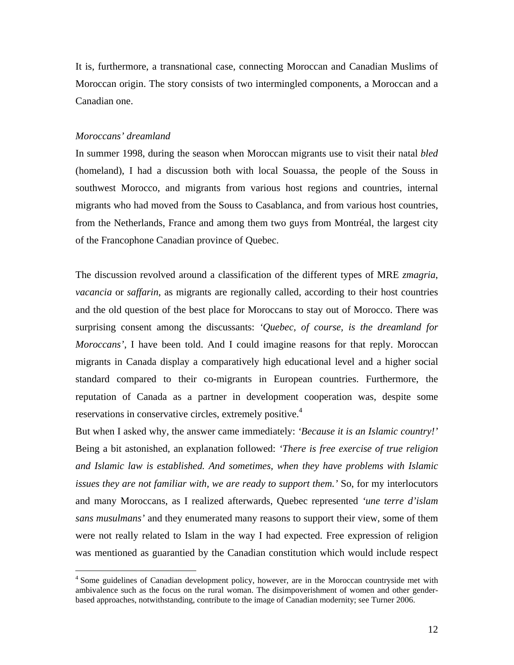It is, furthermore, a transnational case, connecting Moroccan and Canadian Muslims of Moroccan origin. The story consists of two intermingled components, a Moroccan and a Canadian one.

## *Moroccans' dreamland*

 $\overline{a}$ 

In summer 1998, during the season when Moroccan migrants use to visit their natal *bled* (homeland), I had a discussion both with local Souassa, the people of the Souss in southwest Morocco, and migrants from various host regions and countries, internal migrants who had moved from the Souss to Casablanca, and from various host countries, from the Netherlands, France and among them two guys from Montréal, the largest city of the Francophone Canadian province of Quebec.

The discussion revolved around a classification of the different types of MRE *zmagria*, *vacancia* or *saffarin*, as migrants are regionally called, according to their host countries and the old question of the best place for Moroccans to stay out of Morocco. There was surprising consent among the discussants: *'Quebec, of course, is the dreamland for Moroccans'*, I have been told. And I could imagine reasons for that reply. Moroccan migrants in Canada display a comparatively high educational level and a higher social standard compared to their co-migrants in European countries. Furthermore, the reputation of Canada as a partner in development cooperation was, despite some reservations in conservative circles, extremely positive.<sup>4</sup>

But when I asked why, the answer came immediately: *'Because it is an Islamic country!'* Being a bit astonished, an explanation followed: *'There is free exercise of true religion and Islamic law is established. And sometimes, when they have problems with Islamic issues they are not familiar with, we are ready to support them.'* So, for my interlocutors and many Moroccans, as I realized afterwards, Quebec represented *'une terre d'islam sans musulmans'* and they enumerated many reasons to support their view, some of them were not really related to Islam in the way I had expected. Free expression of religion was mentioned as guarantied by the Canadian constitution which would include respect

<sup>&</sup>lt;sup>4</sup> Some guidelines of Canadian development policy, however, are in the Moroccan countryside met with ambivalence such as the focus on the rural woman. The disimpoverishment of women and other genderbased approaches, notwithstanding, contribute to the image of Canadian modernity; see Turner 2006.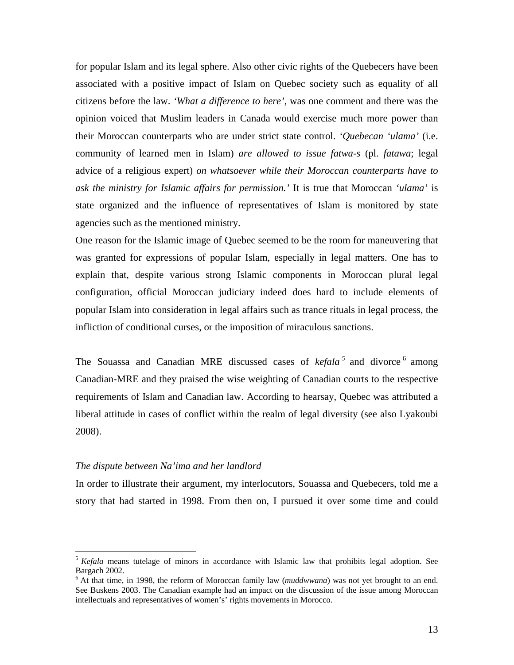for popular Islam and its legal sphere. Also other civic rights of the Quebecers have been associated with a positive impact of Islam on Quebec society such as equality of all citizens before the law. *'What a difference to here'*, was one comment and there was the opinion voiced that Muslim leaders in Canada would exercise much more power than their Moroccan counterparts who are under strict state control. *'Quebecan 'ulama'* (i.e. community of learned men in Islam) *are allowed to issue fatwa-s* (pl. *fatawa*; legal advice of a religious expert) *on whatsoever while their Moroccan counterparts have to ask the ministry for Islamic affairs for permission.'* It is true that Moroccan *'ulama'* is state organized and the influence of representatives of Islam is monitored by state agencies such as the mentioned ministry.

One reason for the Islamic image of Quebec seemed to be the room for maneuvering that was granted for expressions of popular Islam, especially in legal matters. One has to explain that, despite various strong Islamic components in Moroccan plural legal configuration, official Moroccan judiciary indeed does hard to include elements of popular Islam into consideration in legal affairs such as trance rituals in legal process, the infliction of conditional curses, or the imposition of miraculous sanctions.

The Souassa and Canadian MRE discussed cases of *kefala*<sup>5</sup> and divorce<sup>6</sup> among Canadian-MRE and they praised the wise weighting of Canadian courts to the respective requirements of Islam and Canadian law. According to hearsay, Quebec was attributed a liberal attitude in cases of conflict within the realm of legal diversity (see also Lyakoubi 2008).

# *The dispute between Na'ima and her landlord*

1

In order to illustrate their argument, my interlocutors, Souassa and Quebecers, told me a story that had started in 1998. From then on, I pursued it over some time and could

<sup>&</sup>lt;sup>5</sup> *Kefala* means tutelage of minors in accordance with Islamic law that prohibits legal adoption. See Bargach 2002.

<sup>&</sup>lt;sup>6</sup> At that time, in 1998, the reform of Moroccan family law (*muddwwana*) was not yet brought to an end. See Buskens 2003. The Canadian example had an impact on the discussion of the issue among Moroccan intellectuals and representatives of women's' rights movements in Morocco.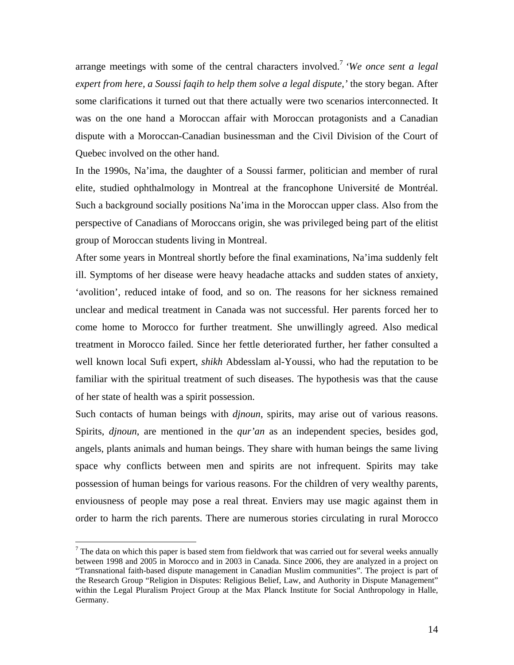arrange meetings with some of the central characters involved.<sup>7</sup> *'We once sent a legal expert from here, a Soussi faqih to help them solve a legal dispute,'* the story began. After some clarifications it turned out that there actually were two scenarios interconnected. It was on the one hand a Moroccan affair with Moroccan protagonists and a Canadian dispute with a Moroccan-Canadian businessman and the Civil Division of the Court of Quebec involved on the other hand.

In the 1990s, Na'ima, the daughter of a Soussi farmer, politician and member of rural elite, studied ophthalmology in Montreal at the francophone Université de Montréal. Such a background socially positions Na'ima in the Moroccan upper class. Also from the perspective of Canadians of Moroccans origin, she was privileged being part of the elitist group of Moroccan students living in Montreal.

After some years in Montreal shortly before the final examinations, Na'ima suddenly felt ill. Symptoms of her disease were heavy headache attacks and sudden states of anxiety, 'avolition', reduced intake of food, and so on. The reasons for her sickness remained unclear and medical treatment in Canada was not successful. Her parents forced her to come home to Morocco for further treatment. She unwillingly agreed. Also medical treatment in Morocco failed. Since her fettle deteriorated further, her father consulted a well known local Sufi expert, *shikh* Abdesslam al-Youssi, who had the reputation to be familiar with the spiritual treatment of such diseases. The hypothesis was that the cause of her state of health was a spirit possession.

Such contacts of human beings with *djnoun*, spirits, may arise out of various reasons. Spirits, *djnoun*, are mentioned in the *qur'an* as an independent species, besides god, angels, plants animals and human beings. They share with human beings the same living space why conflicts between men and spirits are not infrequent. Spirits may take possession of human beings for various reasons. For the children of very wealthy parents, enviousness of people may pose a real threat. Enviers may use magic against them in order to harm the rich parents. There are numerous stories circulating in rural Morocco

 $\overline{a}$ 

 $<sup>7</sup>$  The data on which this paper is based stem from fieldwork that was carried out for several weeks annually</sup> between 1998 and 2005 in Morocco and in 2003 in Canada. Since 2006, they are analyzed in a project on "Transnational faith-based dispute management in Canadian Muslim communities". The project is part of the Research Group "Religion in Disputes: Religious Belief, Law, and Authority in Dispute Management" within the Legal Pluralism Project Group at the Max Planck Institute for Social Anthropology in Halle, Germany.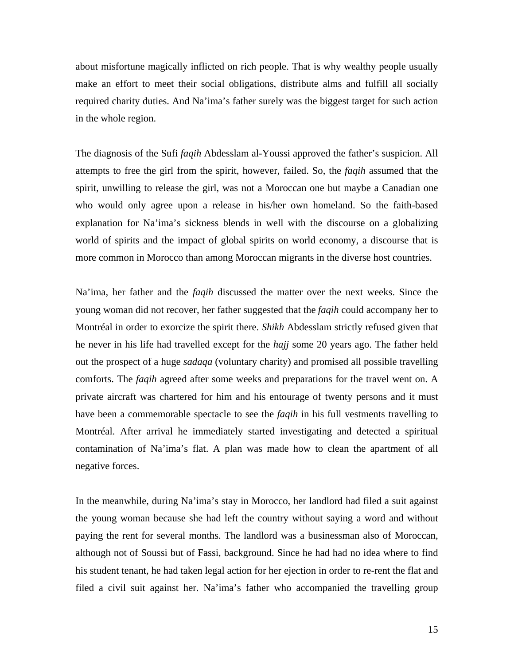about misfortune magically inflicted on rich people. That is why wealthy people usually make an effort to meet their social obligations, distribute alms and fulfill all socially required charity duties. And Na'ima's father surely was the biggest target for such action in the whole region.

The diagnosis of the Sufi *faqih* Abdesslam al-Youssi approved the father's suspicion. All attempts to free the girl from the spirit, however, failed. So, the *faqih* assumed that the spirit, unwilling to release the girl, was not a Moroccan one but maybe a Canadian one who would only agree upon a release in his/her own homeland. So the faith-based explanation for Na'ima's sickness blends in well with the discourse on a globalizing world of spirits and the impact of global spirits on world economy, a discourse that is more common in Morocco than among Moroccan migrants in the diverse host countries.

Na'ima, her father and the *faqih* discussed the matter over the next weeks. Since the young woman did not recover, her father suggested that the *faqih* could accompany her to Montréal in order to exorcize the spirit there. *Shikh* Abdesslam strictly refused given that he never in his life had travelled except for the *hajj* some 20 years ago. The father held out the prospect of a huge *sadaqa* (voluntary charity) and promised all possible travelling comforts. The *faqih* agreed after some weeks and preparations for the travel went on. A private aircraft was chartered for him and his entourage of twenty persons and it must have been a commemorable spectacle to see the *faqih* in his full vestments travelling to Montréal. After arrival he immediately started investigating and detected a spiritual contamination of Na'ima's flat. A plan was made how to clean the apartment of all negative forces.

In the meanwhile, during Na'ima's stay in Morocco, her landlord had filed a suit against the young woman because she had left the country without saying a word and without paying the rent for several months. The landlord was a businessman also of Moroccan, although not of Soussi but of Fassi, background. Since he had had no idea where to find his student tenant, he had taken legal action for her ejection in order to re-rent the flat and filed a civil suit against her. Na'ima's father who accompanied the travelling group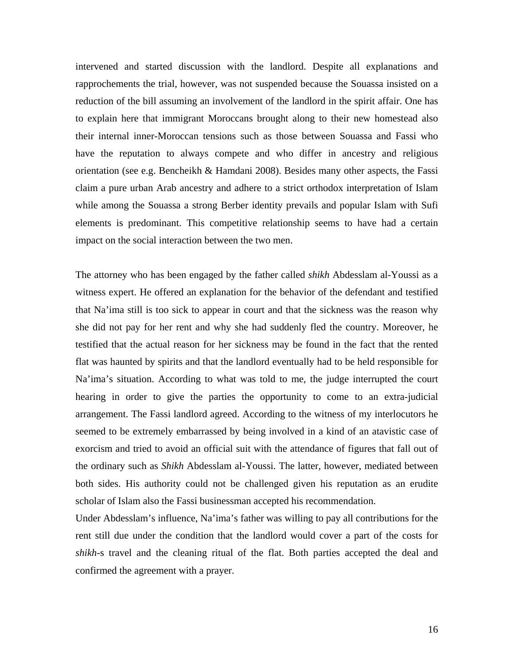intervened and started discussion with the landlord. Despite all explanations and rapprochements the trial, however, was not suspended because the Souassa insisted on a reduction of the bill assuming an involvement of the landlord in the spirit affair. One has to explain here that immigrant Moroccans brought along to their new homestead also their internal inner-Moroccan tensions such as those between Souassa and Fassi who have the reputation to always compete and who differ in ancestry and religious orientation (see e.g. Bencheikh & Hamdani 2008). Besides many other aspects, the Fassi claim a pure urban Arab ancestry and adhere to a strict orthodox interpretation of Islam while among the Souassa a strong Berber identity prevails and popular Islam with Sufi elements is predominant. This competitive relationship seems to have had a certain impact on the social interaction between the two men.

The attorney who has been engaged by the father called *shikh* Abdesslam al-Youssi as a witness expert. He offered an explanation for the behavior of the defendant and testified that Na'ima still is too sick to appear in court and that the sickness was the reason why she did not pay for her rent and why she had suddenly fled the country. Moreover, he testified that the actual reason for her sickness may be found in the fact that the rented flat was haunted by spirits and that the landlord eventually had to be held responsible for Na'ima's situation. According to what was told to me, the judge interrupted the court hearing in order to give the parties the opportunity to come to an extra-judicial arrangement. The Fassi landlord agreed. According to the witness of my interlocutors he seemed to be extremely embarrassed by being involved in a kind of an atavistic case of exorcism and tried to avoid an official suit with the attendance of figures that fall out of the ordinary such as *Shikh* Abdesslam al-Youssi. The latter, however, mediated between both sides. His authority could not be challenged given his reputation as an erudite scholar of Islam also the Fassi businessman accepted his recommendation.

Under Abdesslam's influence, Na'ima's father was willing to pay all contributions for the rent still due under the condition that the landlord would cover a part of the costs for *shikh*-s travel and the cleaning ritual of the flat. Both parties accepted the deal and confirmed the agreement with a prayer.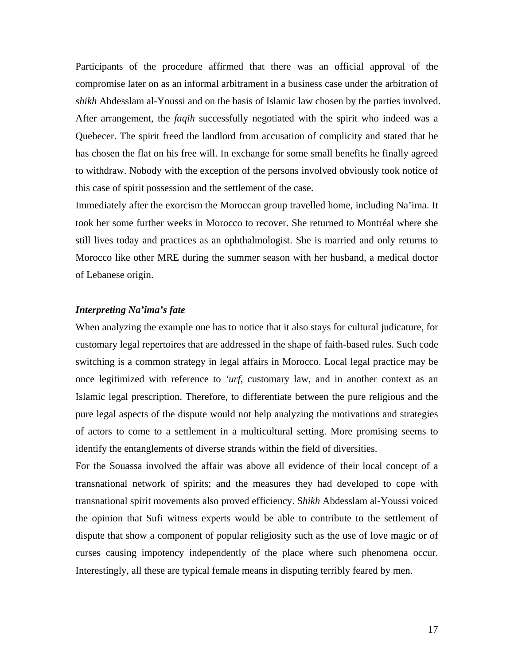Participants of the procedure affirmed that there was an official approval of the compromise later on as an informal arbitrament in a business case under the arbitration of *shikh* Abdesslam al-Youssi and on the basis of Islamic law chosen by the parties involved. After arrangement, the *faqih* successfully negotiated with the spirit who indeed was a Quebecer. The spirit freed the landlord from accusation of complicity and stated that he has chosen the flat on his free will. In exchange for some small benefits he finally agreed to withdraw. Nobody with the exception of the persons involved obviously took notice of this case of spirit possession and the settlement of the case.

Immediately after the exorcism the Moroccan group travelled home, including Na'ima. It took her some further weeks in Morocco to recover. She returned to Montréal where she still lives today and practices as an ophthalmologist. She is married and only returns to Morocco like other MRE during the summer season with her husband, a medical doctor of Lebanese origin.

## *Interpreting Na'ima's fate*

When analyzing the example one has to notice that it also stays for cultural judicature, for customary legal repertoires that are addressed in the shape of faith-based rules. Such code switching is a common strategy in legal affairs in Morocco. Local legal practice may be once legitimized with reference to *'urf*, customary law, and in another context as an Islamic legal prescription. Therefore, to differentiate between the pure religious and the pure legal aspects of the dispute would not help analyzing the motivations and strategies of actors to come to a settlement in a multicultural setting. More promising seems to identify the entanglements of diverse strands within the field of diversities.

For the Souassa involved the affair was above all evidence of their local concept of a transnational network of spirits; and the measures they had developed to cope with transnational spirit movements also proved efficiency. S*hikh* Abdesslam al-Youssi voiced the opinion that Sufi witness experts would be able to contribute to the settlement of dispute that show a component of popular religiosity such as the use of love magic or of curses causing impotency independently of the place where such phenomena occur. Interestingly, all these are typical female means in disputing terribly feared by men.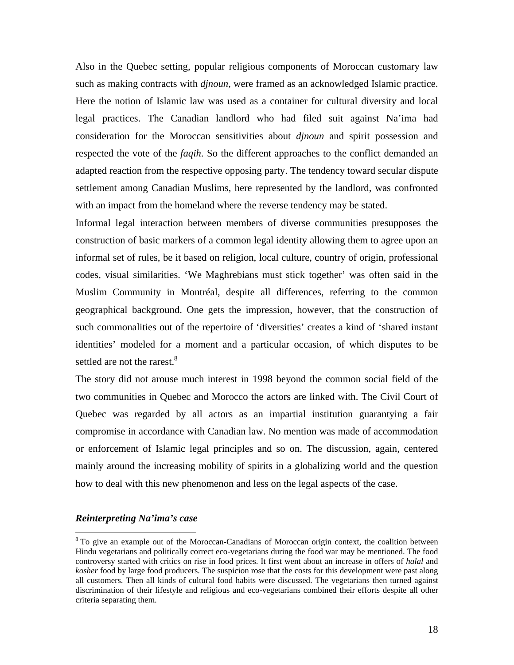Also in the Quebec setting, popular religious components of Moroccan customary law such as making contracts with *djnoun*, were framed as an acknowledged Islamic practice. Here the notion of Islamic law was used as a container for cultural diversity and local legal practices. The Canadian landlord who had filed suit against Na'ima had consideration for the Moroccan sensitivities about *djnoun* and spirit possession and respected the vote of the *faqih*. So the different approaches to the conflict demanded an adapted reaction from the respective opposing party. The tendency toward secular dispute settlement among Canadian Muslims, here represented by the landlord, was confronted with an impact from the homeland where the reverse tendency may be stated.

Informal legal interaction between members of diverse communities presupposes the construction of basic markers of a common legal identity allowing them to agree upon an informal set of rules, be it based on religion, local culture, country of origin, professional codes, visual similarities. 'We Maghrebians must stick together' was often said in the Muslim Community in Montréal, despite all differences, referring to the common geographical background. One gets the impression, however, that the construction of such commonalities out of the repertoire of 'diversities' creates a kind of 'shared instant identities' modeled for a moment and a particular occasion, of which disputes to be settled are not the rarest.<sup>8</sup>

The story did not arouse much interest in 1998 beyond the common social field of the two communities in Quebec and Morocco the actors are linked with. The Civil Court of Quebec was regarded by all actors as an impartial institution guarantying a fair compromise in accordance with Canadian law. No mention was made of accommodation or enforcement of Islamic legal principles and so on. The discussion, again, centered mainly around the increasing mobility of spirits in a globalizing world and the question how to deal with this new phenomenon and less on the legal aspects of the case.

# *Reinterpreting Na'ima's case*

 $\overline{a}$ 

 $8$  To give an example out of the Moroccan-Canadians of Moroccan origin context, the coalition between Hindu vegetarians and politically correct eco-vegetarians during the food war may be mentioned. The food controversy started with critics on rise in food prices. It first went about an increase in offers of *halal* and *kosher* food by large food producers. The suspicion rose that the costs for this development were past along all customers. Then all kinds of cultural food habits were discussed. The vegetarians then turned against discrimination of their lifestyle and religious and eco-vegetarians combined their efforts despite all other criteria separating them.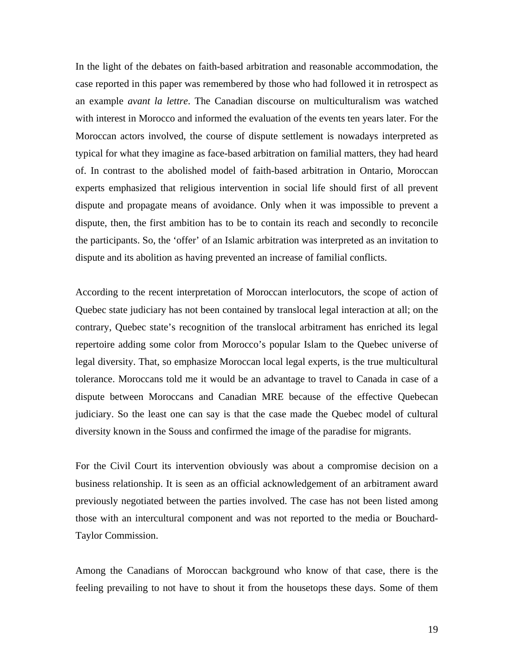In the light of the debates on faith-based arbitration and reasonable accommodation, the case reported in this paper was remembered by those who had followed it in retrospect as an example *avant la lettre*. The Canadian discourse on multiculturalism was watched with interest in Morocco and informed the evaluation of the events ten years later. For the Moroccan actors involved, the course of dispute settlement is nowadays interpreted as typical for what they imagine as face-based arbitration on familial matters, they had heard of. In contrast to the abolished model of faith-based arbitration in Ontario, Moroccan experts emphasized that religious intervention in social life should first of all prevent dispute and propagate means of avoidance. Only when it was impossible to prevent a dispute, then, the first ambition has to be to contain its reach and secondly to reconcile the participants. So, the 'offer' of an Islamic arbitration was interpreted as an invitation to dispute and its abolition as having prevented an increase of familial conflicts.

According to the recent interpretation of Moroccan interlocutors, the scope of action of Quebec state judiciary has not been contained by translocal legal interaction at all; on the contrary, Quebec state's recognition of the translocal arbitrament has enriched its legal repertoire adding some color from Morocco's popular Islam to the Quebec universe of legal diversity. That, so emphasize Moroccan local legal experts, is the true multicultural tolerance. Moroccans told me it would be an advantage to travel to Canada in case of a dispute between Moroccans and Canadian MRE because of the effective Quebecan judiciary. So the least one can say is that the case made the Quebec model of cultural diversity known in the Souss and confirmed the image of the paradise for migrants.

For the Civil Court its intervention obviously was about a compromise decision on a business relationship. It is seen as an official acknowledgement of an arbitrament award previously negotiated between the parties involved. The case has not been listed among those with an intercultural component and was not reported to the media or Bouchard-Taylor Commission.

Among the Canadians of Moroccan background who know of that case, there is the feeling prevailing to not have to shout it from the housetops these days. Some of them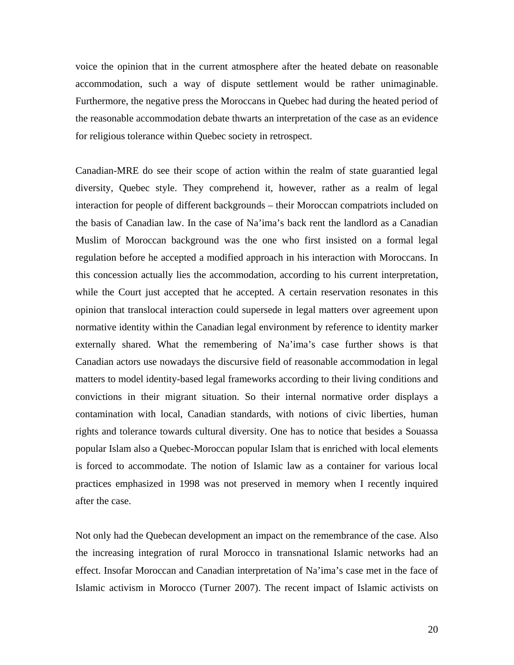voice the opinion that in the current atmosphere after the heated debate on reasonable accommodation, such a way of dispute settlement would be rather unimaginable. Furthermore, the negative press the Moroccans in Quebec had during the heated period of the reasonable accommodation debate thwarts an interpretation of the case as an evidence for religious tolerance within Quebec society in retrospect.

Canadian-MRE do see their scope of action within the realm of state guarantied legal diversity, Quebec style. They comprehend it, however, rather as a realm of legal interaction for people of different backgrounds – their Moroccan compatriots included on the basis of Canadian law. In the case of Na'ima's back rent the landlord as a Canadian Muslim of Moroccan background was the one who first insisted on a formal legal regulation before he accepted a modified approach in his interaction with Moroccans. In this concession actually lies the accommodation, according to his current interpretation, while the Court just accepted that he accepted. A certain reservation resonates in this opinion that translocal interaction could supersede in legal matters over agreement upon normative identity within the Canadian legal environment by reference to identity marker externally shared. What the remembering of Na'ima's case further shows is that Canadian actors use nowadays the discursive field of reasonable accommodation in legal matters to model identity-based legal frameworks according to their living conditions and convictions in their migrant situation. So their internal normative order displays a contamination with local, Canadian standards, with notions of civic liberties, human rights and tolerance towards cultural diversity. One has to notice that besides a Souassa popular Islam also a Quebec-Moroccan popular Islam that is enriched with local elements is forced to accommodate. The notion of Islamic law as a container for various local practices emphasized in 1998 was not preserved in memory when I recently inquired after the case.

Not only had the Quebecan development an impact on the remembrance of the case. Also the increasing integration of rural Morocco in transnational Islamic networks had an effect. Insofar Moroccan and Canadian interpretation of Na'ima's case met in the face of Islamic activism in Morocco (Turner 2007). The recent impact of Islamic activists on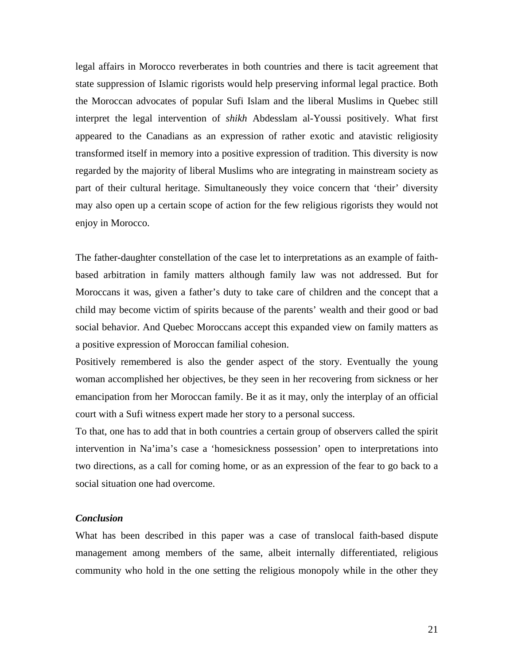legal affairs in Morocco reverberates in both countries and there is tacit agreement that state suppression of Islamic rigorists would help preserving informal legal practice. Both the Moroccan advocates of popular Sufi Islam and the liberal Muslims in Quebec still interpret the legal intervention of *shikh* Abdesslam al-Youssi positively. What first appeared to the Canadians as an expression of rather exotic and atavistic religiosity transformed itself in memory into a positive expression of tradition. This diversity is now regarded by the majority of liberal Muslims who are integrating in mainstream society as part of their cultural heritage. Simultaneously they voice concern that 'their' diversity may also open up a certain scope of action for the few religious rigorists they would not enjoy in Morocco.

The father-daughter constellation of the case let to interpretations as an example of faithbased arbitration in family matters although family law was not addressed. But for Moroccans it was, given a father's duty to take care of children and the concept that a child may become victim of spirits because of the parents' wealth and their good or bad social behavior. And Quebec Moroccans accept this expanded view on family matters as a positive expression of Moroccan familial cohesion.

Positively remembered is also the gender aspect of the story. Eventually the young woman accomplished her objectives, be they seen in her recovering from sickness or her emancipation from her Moroccan family. Be it as it may, only the interplay of an official court with a Sufi witness expert made her story to a personal success.

To that, one has to add that in both countries a certain group of observers called the spirit intervention in Na'ima's case a 'homesickness possession' open to interpretations into two directions, as a call for coming home, or as an expression of the fear to go back to a social situation one had overcome.

#### *Conclusion*

What has been described in this paper was a case of translocal faith-based dispute management among members of the same, albeit internally differentiated, religious community who hold in the one setting the religious monopoly while in the other they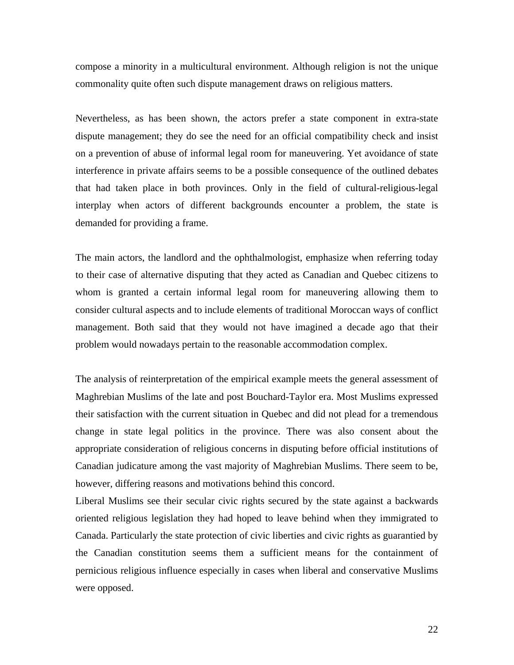compose a minority in a multicultural environment. Although religion is not the unique commonality quite often such dispute management draws on religious matters.

Nevertheless, as has been shown, the actors prefer a state component in extra-state dispute management; they do see the need for an official compatibility check and insist on a prevention of abuse of informal legal room for maneuvering. Yet avoidance of state interference in private affairs seems to be a possible consequence of the outlined debates that had taken place in both provinces. Only in the field of cultural-religious-legal interplay when actors of different backgrounds encounter a problem, the state is demanded for providing a frame.

The main actors, the landlord and the ophthalmologist, emphasize when referring today to their case of alternative disputing that they acted as Canadian and Quebec citizens to whom is granted a certain informal legal room for maneuvering allowing them to consider cultural aspects and to include elements of traditional Moroccan ways of conflict management. Both said that they would not have imagined a decade ago that their problem would nowadays pertain to the reasonable accommodation complex.

The analysis of reinterpretation of the empirical example meets the general assessment of Maghrebian Muslims of the late and post Bouchard-Taylor era. Most Muslims expressed their satisfaction with the current situation in Quebec and did not plead for a tremendous change in state legal politics in the province. There was also consent about the appropriate consideration of religious concerns in disputing before official institutions of Canadian judicature among the vast majority of Maghrebian Muslims. There seem to be, however, differing reasons and motivations behind this concord.

Liberal Muslims see their secular civic rights secured by the state against a backwards oriented religious legislation they had hoped to leave behind when they immigrated to Canada. Particularly the state protection of civic liberties and civic rights as guarantied by the Canadian constitution seems them a sufficient means for the containment of pernicious religious influence especially in cases when liberal and conservative Muslims were opposed.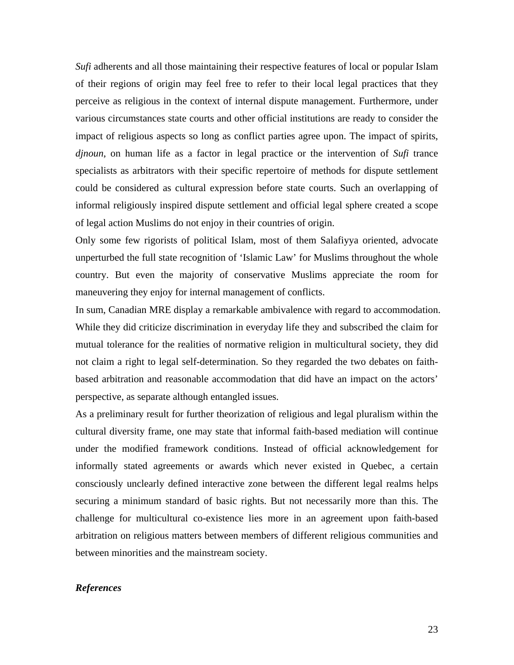*Sufi* adherents and all those maintaining their respective features of local or popular Islam of their regions of origin may feel free to refer to their local legal practices that they perceive as religious in the context of internal dispute management. Furthermore, under various circumstances state courts and other official institutions are ready to consider the impact of religious aspects so long as conflict parties agree upon. The impact of spirits, *djnoun*, on human life as a factor in legal practice or the intervention of *Sufi* trance specialists as arbitrators with their specific repertoire of methods for dispute settlement could be considered as cultural expression before state courts. Such an overlapping of informal religiously inspired dispute settlement and official legal sphere created a scope of legal action Muslims do not enjoy in their countries of origin.

Only some few rigorists of political Islam, most of them Salafiyya oriented, advocate unperturbed the full state recognition of 'Islamic Law' for Muslims throughout the whole country. But even the majority of conservative Muslims appreciate the room for maneuvering they enjoy for internal management of conflicts.

In sum, Canadian MRE display a remarkable ambivalence with regard to accommodation. While they did criticize discrimination in everyday life they and subscribed the claim for mutual tolerance for the realities of normative religion in multicultural society, they did not claim a right to legal self-determination. So they regarded the two debates on faithbased arbitration and reasonable accommodation that did have an impact on the actors' perspective, as separate although entangled issues.

As a preliminary result for further theorization of religious and legal pluralism within the cultural diversity frame, one may state that informal faith-based mediation will continue under the modified framework conditions. Instead of official acknowledgement for informally stated agreements or awards which never existed in Quebec, a certain consciously unclearly defined interactive zone between the different legal realms helps securing a minimum standard of basic rights. But not necessarily more than this. The challenge for multicultural co-existence lies more in an agreement upon faith-based arbitration on religious matters between members of different religious communities and between minorities and the mainstream society.

# *References*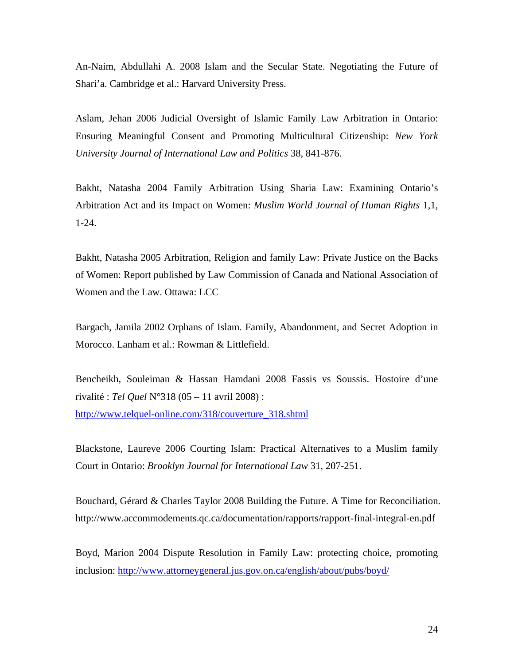An-Naim, Abdullahi A. 2008 Islam and the Secular State. Negotiating the Future of Shari'a. Cambridge et al.: Harvard University Press.

Aslam, Jehan 2006 Judicial Oversight of Islamic Family Law Arbitration in Ontario: Ensuring Meaningful Consent and Promoting Multicultural Citizenship: *New York University Journal of International Law and Politics* 38, 841-876.

Bakht, Natasha 2004 Family Arbitration Using Sharia Law: Examining Ontario's Arbitration Act and its Impact on Women: *Muslim World Journal of Human Rights* 1,1, 1-24.

Bakht, Natasha 2005 Arbitration, Religion and family Law: Private Justice on the Backs of Women: Report published by Law Commission of Canada and National Association of Women and the Law. Ottawa: LCC

Bargach, Jamila 2002 Orphans of Islam. Family, Abandonment, and Secret Adoption in Morocco. Lanham et al.: Rowman & Littlefield.

Bencheikh, Souleiman & Hassan Hamdani 2008 Fassis vs Soussis. Hostoire d'une rivalité : *Tel Quel* N°318 (05 – 11 avril 2008) : http://www.telquel-online.com/318/couverture\_318.shtml

Blackstone, Laureve 2006 Courting Islam: Practical Alternatives to a Muslim family Court in Ontario: *Brooklyn Journal for International Law* 31, 207-251.

Bouchard, Gérard & Charles Taylor 2008 Building the Future. A Time for Reconciliation. http://www.accommodements.qc.ca/documentation/rapports/rapport-final-integral-en.pdf

Boyd, Marion 2004 Dispute Resolution in Family Law: protecting choice, promoting inclusion: http://www.attorneygeneral.jus.gov.on.ca/english/about/pubs/boyd/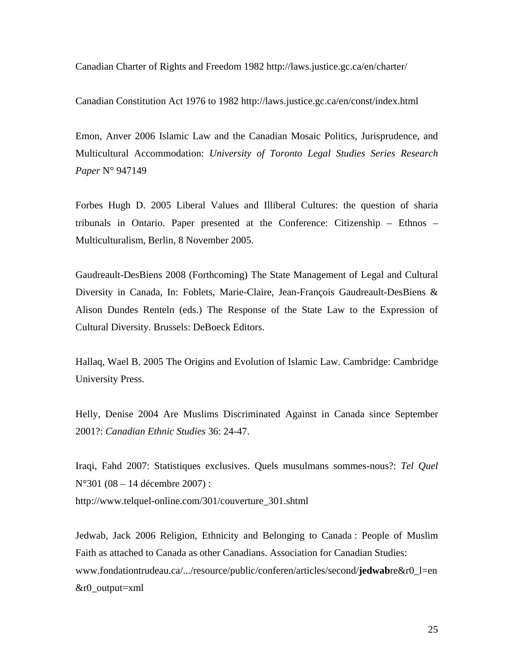Canadian Charter of Rights and Freedom 1982 http://laws.justice.gc.ca/en/charter/

Canadian Constitution Act 1976 to 1982 http://laws.justice.gc.ca/en/const/index.html

Emon, Anver 2006 Islamic Law and the Canadian Mosaic Politics, Jurisprudence, and Multicultural Accommodation: *University of Toronto Legal Studies Series Research Paper* N° 947149

Forbes Hugh D. 2005 Liberal Values and Illiberal Cultures: the question of sharia tribunals in Ontario. Paper presented at the Conference: Citizenship – Ethnos – Multiculturalism, Berlin, 8 November 2005.

Gaudreault-DesBiens 2008 (Forthcoming) The State Management of Legal and Cultural Diversity in Canada, In: Foblets, Marie-Claire, Jean-François Gaudreault-DesBiens & Alison Dundes Renteln (eds.) The Response of the State Law to the Expression of Cultural Diversity. Brussels: DeBoeck Editors.

Hallaq, Wael B. 2005 The Origins and Evolution of Islamic Law. Cambridge: Cambridge University Press.

Helly, Denise 2004 Are Muslims Discriminated Against in Canada since September 2001?: *Canadian Ethnic Studies* 36: 24-47.

Iraqi, Fahd 2007: Statistiques exclusives. Quels musulmans sommes-nous?: *Tel Quel* N°301 (08 – 14 décembre 2007) : http://www.telquel-online.com/301/couverture\_301.shtml

Jedwab, Jack 2006 Religion, Ethnicity and Belonging to Canada : People of Muslim Faith as attached to Canada as other Canadians. Association for Canadian Studies: www.fondationtrudeau.ca/.../resource/public/conferen/articles/second/**jedwab**re&r0\_l=en &r0\_output=xml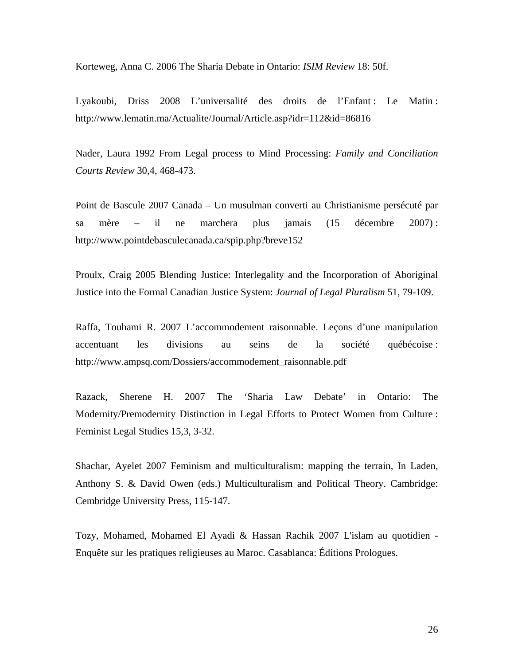Korteweg, Anna C. 2006 The Sharia Debate in Ontario: *ISIM Review* 18: 50f.

Lyakoubi, Driss 2008 L'universalité des droits de l'Enfant : Le Matin : http://www.lematin.ma/Actualite/Journal/Article.asp?idr=112&id=86816

Nader, Laura 1992 From Legal process to Mind Processing: *Family and Conciliation Courts Review* 30,4, 468-473.

Point de Bascule 2007 Canada – Un musulman converti au Christianisme persécuté par sa mère – il ne marchera plus jamais (15 décembre 2007) : http://www.pointdebasculecanada.ca/spip.php?breve152

Proulx, Craig 2005 Blending Justice: Interlegality and the Incorporation of Aboriginal Justice into the Formal Canadian Justice System: *Journal of Legal Pluralism* 51, 79-109.

Raffa, Touhami R. 2007 L'accommodement raisonnable. Leçons d'une manipulation accentuant les divisions au seins de la société québécoise : http://www.ampsq.com/Dossiers/accommodement\_raisonnable.pdf

Razack, Sherene H. 2007 The 'Sharia Law Debate' in Ontario: The Modernity/Premodernity Distinction in Legal Efforts to Protect Women from Culture : Feminist Legal Studies 15,3, 3-32.

Shachar, Ayelet 2007 Feminism and multiculturalism: mapping the terrain, In Laden, Anthony S. & David Owen (eds.) Multiculturalism and Political Theory. Cambridge: Cembridge University Press, 115-147.

Tozy, Mohamed, Mohamed El Ayadi & Hassan Rachik 2007 L'islam au quotidien - Enquête sur les pratiques religieuses au Maroc. Casablanca: Éditions Prologues.